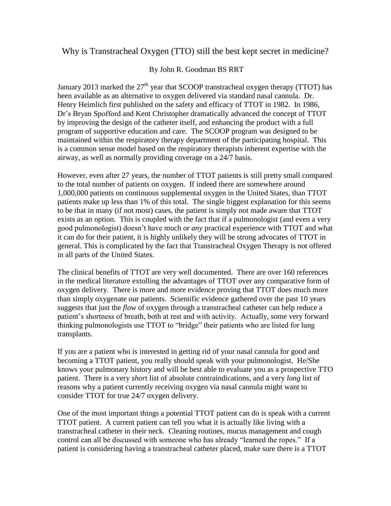## Why is Transtracheal Oxygen (TTO) still the best kept secret in medicine?

## By John R. Goodman BS RRT

January 2013 marked the  $27<sup>th</sup>$  year that SCOOP transtracheal oxygen therapy (TTOT) has been available as an alternative to oxygen delivered via standard nasal cannula. Dr. Henry Heimlich first published on the safety and efficacy of TTOT in 1982. In 1986, Dr's Bryan Spofford and Kent Christopher dramatically advanced the concept of TTOT by improving the design of the catheter itself, and enhancing the product with a full program of supportive education and care. The SCOOP program was designed to be maintained within the respiratory therapy department of the participating hospital. This is a common sense model based on the respiratory therapists inherent expertise with the airway, as well as normally providing coverage on a 24/7 basis.

However, even after 27 years, the number of TTOT patients is still pretty small compared to the total number of patients on oxygen. If indeed there are somewhere around 1,000,000 patients on continuous supplemental oxygen in the United States, than TTOT patients make up less than 1% of this total. The single biggest explanation for this seems to be that in many (if not most) cases, the patient is simply not made aware that TTOT exists as an option. This is coupled with the fact that if a pulmonologist (and even a very good pulmonologist) doesn't have much or *any* practical experience with TTOT and what it can do for their patient, it is highly unlikely they will be strong advocates of TTOT in general. This is complicated by the fact that Transtracheal Oxygen Therapy is not offered in all parts of the United States.

The clinical benefits of TTOT are very well documented. There are over 160 references in the medical literature extolling the advantages of TTOT over any comparative form of oxygen delivery. There is more and more evidence proving that TTOT does much more than simply oxygenate our patients. Scientific evidence gathered over the past 10 years suggests that just the *flow* of oxygen through a transtracheal catheter can help reduce a patient's shortness of breath, both at rest and with activity. Actually, some very forward thinking pulmonologists use TTOT to "bridge" their patients who are listed for lung transplants.

If you are a patient who is interested in getting rid of your nasal cannula for good and becoming a TTOT patient, you really should speak with your pulmonologist. He/She knows your pulmonary history and will be best able to evaluate you as a prospective TTO patient. There is a very *shor*t list of absolute contraindications, and a very *long* list of reasons why a patient currently receiving oxygen via nasal cannula might want to consider TTOT for true 24/7 oxygen delivery.

One of the most important things a potential TTOT patient can do is speak with a current TTOT patient. A current patient can tell you what it is actually like living with a transtracheal catheter in their neck. Cleaning routines, mucus management and cough control can all be discussed with someone who has already "learned the ropes." If a patient is considering having a transtracheal catheter placed, make sure there is a TTOT